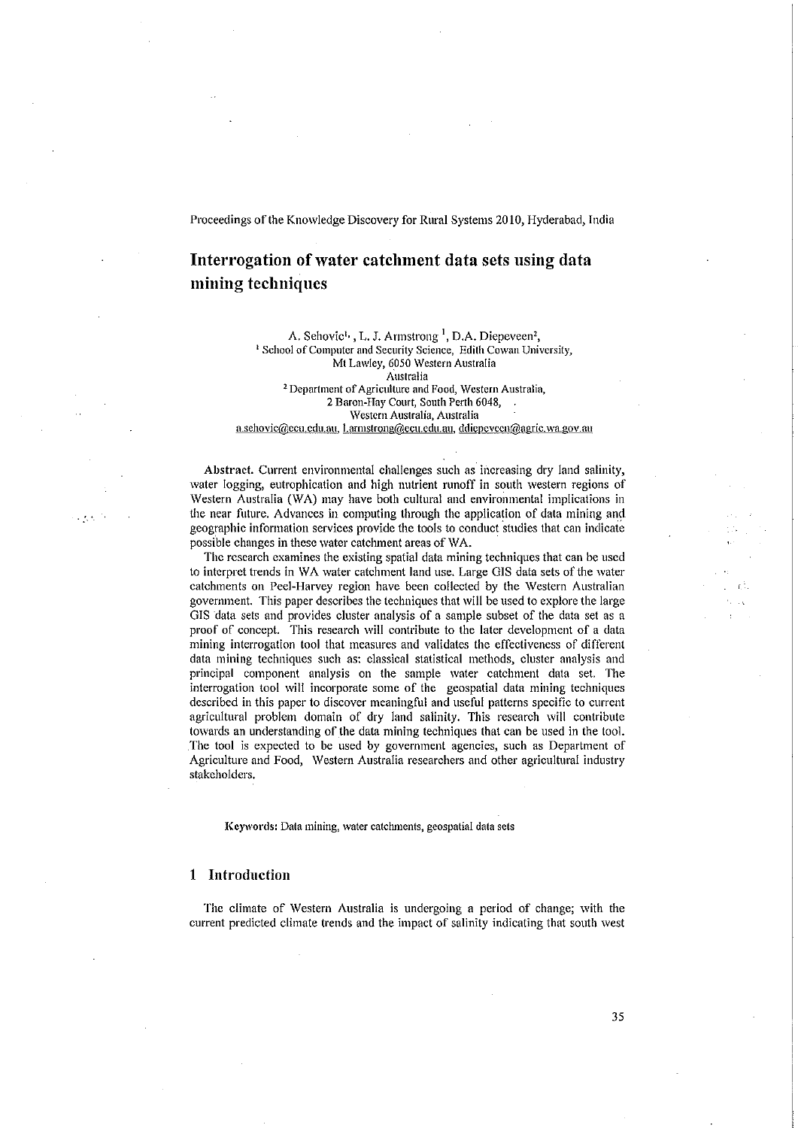# Interrogation of water catchment data sets using data mining techniques

A. Sehovic<sup>t,</sup>, L. J. Armstrong <sup>1</sup>, D.A. Diepeveen<sup>2</sup>, <sup>1</sup> School of Computer and Security Science, Edith Cowan University, Mt Lawley, 6050 Western Australia Australia 2 Department of Agriculture and Food, Western Australia, 2 Baron-Hay Court, South Perth 6048, Western Australia, Australia a.sehovic@ecu.cdu.au, l.armstrong@ecu.edu.au, ddiepevcen@agric.wa.gov.au

Abstract. Current environmental challenges such as increasing dry land salinity, water logging, eutrophication and high nutrient runoff in south western regions of \Vestern Australia (\VA) may have both cultural and environmental implications in the near future. Advances in computing through the application of data mining and geographic information services provide the tools to conduct studies that can indicate possi'ble changes in these water catchment areas of WA.

The research examines the existing spatial data mining techniques that can be used to interpret trends in \VA water catchment land use. Large GIS data sets of the water catchments on Peel-Harvey region have been collected by the \Vestern Australian government. This paper describes the techniques that will be used to explore the large GIS data sets and provides cluster analysis of a sample subset of the data set as a proof of concept. This research will contribute to the later development of a data mining interrogation tool that measures and validates the effectiveness of different data mining techniques such as: classical statistical methods, cluster analysis and principal component analysis on the sample water catchment data set. The interrogation tool will incorporate some of the geospatial data mining techniques described in this paper to discover meaningful and useful patterns specific to current agricultural problem domain of dry land salinity. This research will contribute towards an understanding of the data mining techniques that can be used in the tool. The tool is expected to be used by government agencies, such as Department of Agriculture and Food, \Vestern Australia researchers and other agricultural industry stakeholders.

Keywords: Data mining, water catchments, geospatial data sets

### 1 Introduction

The climate of Western Australia is undergoing a period of change; with the current predicted climate trends and the impact of salinity indicating that south west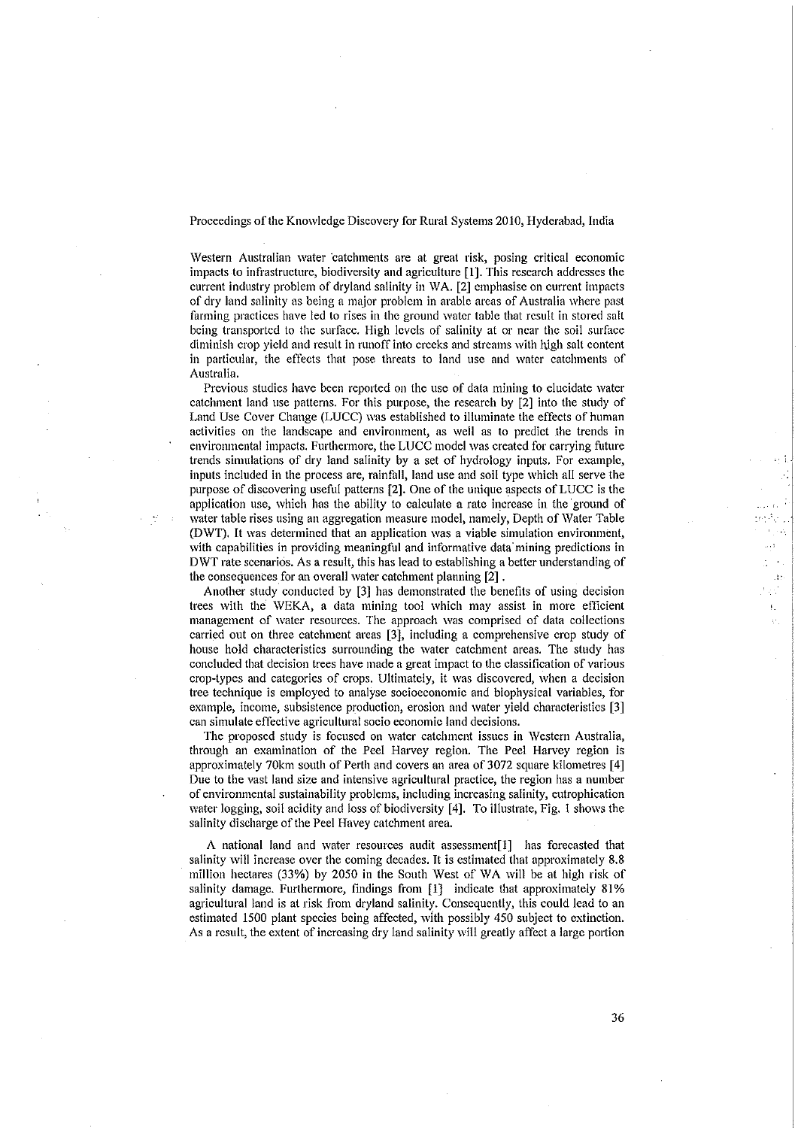Western Australian water catchments are at great risk, posing critical economic impacts to infrastructure, biodiversity and agriculture [1]. This research addresses the current industry problem of dryland salinity in WA. [2] emphasise on current impacts of dry land salinity as being a major problem in arable areas of Australia where past farming practices have led to rises in the ground water table that result in stored salt being transported to the surface. High levels of salinity at or near the soil surface diminish crop yield and result in runoff into creeks and streams with high salt content in particular, the effects that pose threats to land use and water catchments of Australia.

Previous studies have been reported on the use of data mining to elucidate water catchment land use patterns. For this purpose, the research by [2] into the study of Land Use Cover Change (LUCC) was established to illuminate the effects of human activities on the landscape and environment, as well as to predict the trends in environmental impacts. Furthermore, the LUCC model was created for carrying future trends simulations of dry land salinity by a set of hydrology inputs. For example, inputs included in the process are, rainfall, land use and soil type which all serve the purpose of discovering useful patterns [2]. One of the unique aspects of LUCC is the application use, which has the ability to calculate a rate increase in the ground of water table rises using an aggregation measure model, namely, Depth of Water Table (DWT). It was determined that an application was a viable simulation environment, with capabilities in providing meaningful and informative data mining predictions in DWT rate scenarios. As a result, this has lead to establishing a better understanding of the consequences for an overall water catchment planning [2].

Another study conducted by [3] has demonstrated the benefits of using decision trees with the WEKA, a data mining tool which may assist in more efficient management of water resources. The approach was comprised of data collections carried out on three catchment areas [3], including a comprehensive crop study of house hold characteristics surrounding the water catchment areas. The study has concluded that decision trees have made a great impact to the classification of various crop-types and categories of crops. Ultimately, it was discovered, when a decision tree technique is employed to analyse socioeconomic and biophysical variables, for example, income, subsistence production, erosion and water yield characteristics [3] can simulate effective agricultural socio economic land decisions.

The proposed study is focused on water catchment issues in Western Australia, through an examination of the Peel Harvey region. The Peel Harvey region is approximately 70km south of Perth and covers an area of 3072 square kilometres [4] Due to the vast land size and intensive agricultural practice, the region has a number of environmental sustainability problems, including increasing salinity, eutrophication water logging, soil acidity and loss of biodiversity [4]. To illustrate, Fig. 1 shows the salinity discharge of the Peel Havey catchment area.

A national land and water resources audit assessment[1] has forecasted that salinity will increase over the coming decades. It is estimated that approximately 8.8 million hectares (33%) by 2050 in the South West of WA will be at high risk of salinity damage. Furthermore, findings from [1] indicate that approximately 81% agricultural land is at risk from dryland salinity. Consequently, this could lead to an estimated 1500 plant species being affected, with possibly 450 subject to extinction. As a result, the extent of increasing dry land salinity will greatly affect a large portion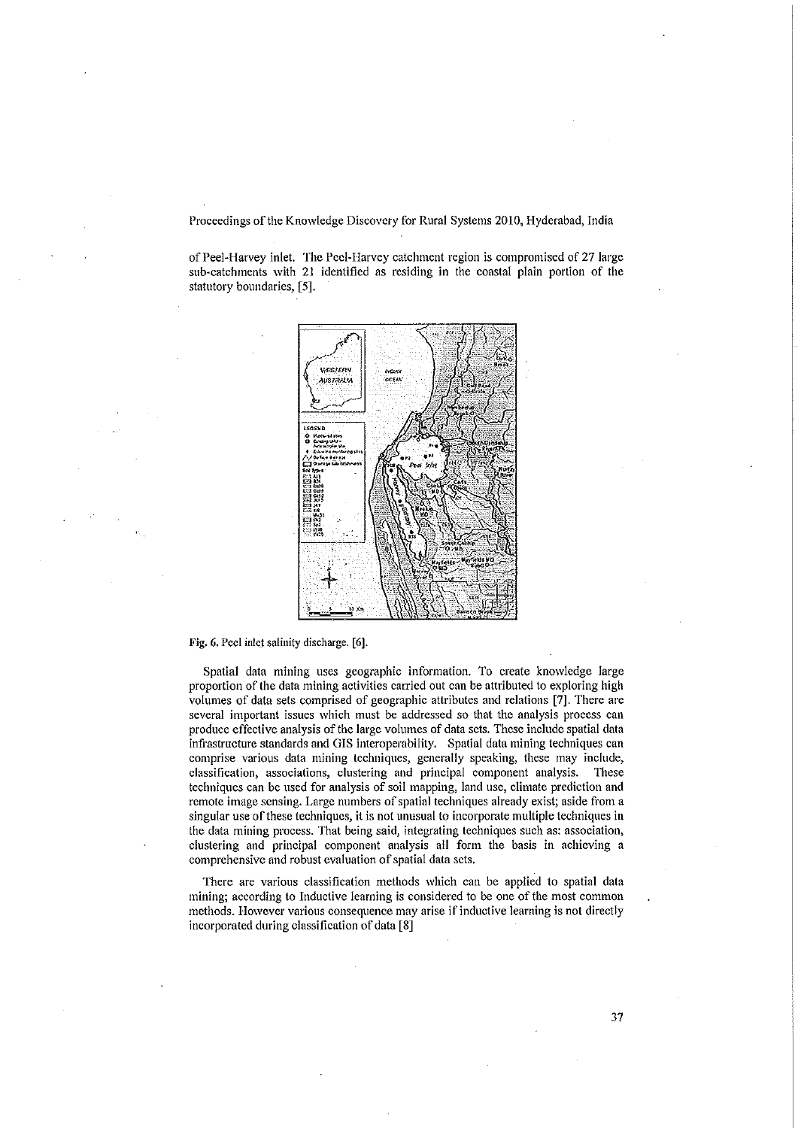of Peel-Harvey inlet. The Peel-Harvey catchment region is compromised of 27 large sub-catchments with 21 identified as residing in the coastal plain portion of the statutory boundaries, [5].



Fig. 6. Peel inlet salinity discharge. [6].

Spatial data mining uses geographic information. To create knowledge large proportion of the data mining activities carried out can be attributed to exploring high volumes of data sets comprised of geographic attributes and relations [7]. There are several important issues which must be addressed so that the analysis process can produce effective analysis of the large volumes of data sets. These include spatial data infrastructure standards and GIS interoperability. Spatial data mining techniques can comprise various data mining techniques, generally speaking, these may include, classification, associations, clustering and principal component analysis. These techniques can be used for analysis of soil mapping, land use, climate prediction and remote image sensing. Large numbers of spatial techniques already exist; aside from a singular use of these techniques, it is not unusual to incorporate multiple techniques in the data mining process. That being said, integrating techniques such as: association, clustering and principal component analysis all form the basis in achieving a comprehensive and robust evaluation of spatial data sets.

There are various classification methods which can be applied to spatial data mining; according to Inductive learning is considered to be one of the most common methods. However various consequence may arise if inductive learning is not directly incorporated during classification of data [8]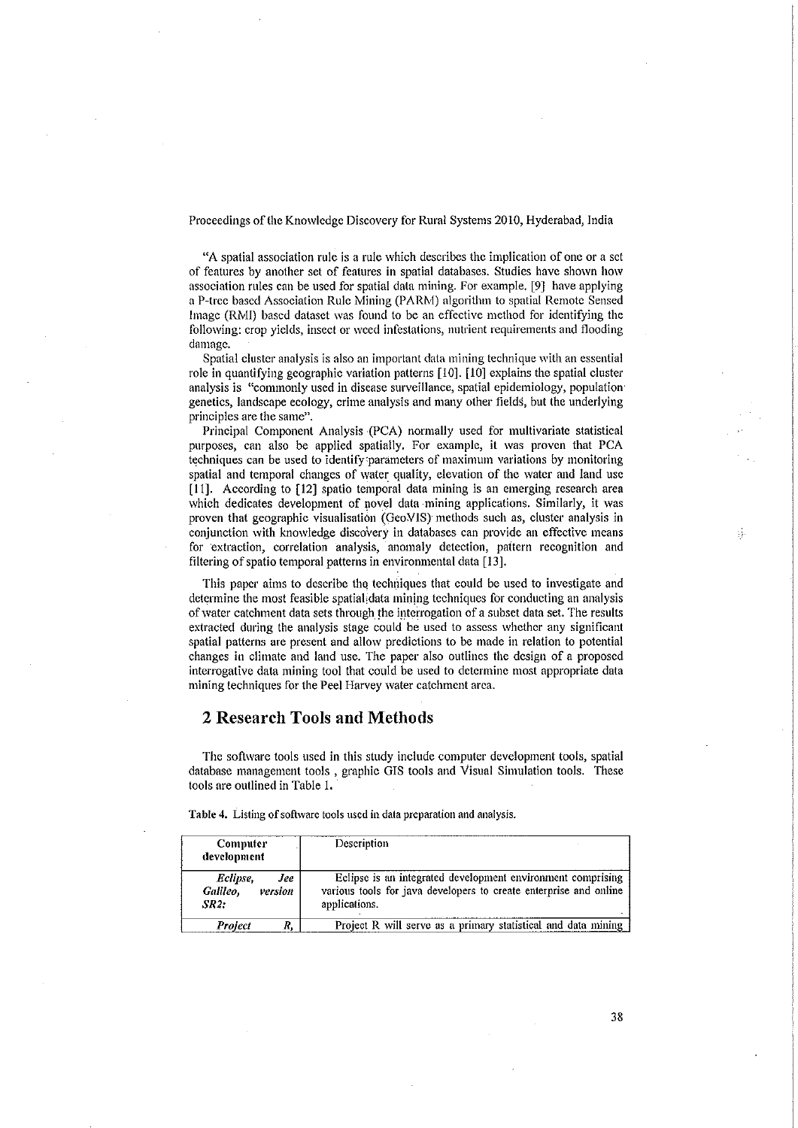"A spatial association rule is a rule which describes the implication of one or a set of features by another set of features in spatial databases. Studies have shown how association rules can be used for spatial data mining. For example. [9] have applying a P-tree based Association Rule Mining (PARM) algorithm to spatial Remote Sensed Image (RMI) based dataset was found to be an effective method for identifying the following: crop yields, insect or weed infestations, nutrient requirements and flooding damage.

Spatial cluster analysis is also an important data mining technique with an essential role in quantifying geographic variation patterns [10]. [10] explains the spatial cluster analysis is "commonly used in disease surveillance, spatial epidemiology, population genetics, landscape ecology, crime analysis and many other fields, but the underlying principles are the same".

Principal Component Analysis (PCA) normally used for multivariate statistical purposes, can also be applied spatially. For example, it was proven that PCA techniques can be used to identify parameters of maximum variations by monitoring spatial and temporal changes of water quality, elevation of the water and land use [11]. According to [12] spatio temporal data mining is an emerging research area which dedicates development of novel data mining applications. Similarly, it was proven that geographic visualisation (GeoVIS) methods such as, cluster analysis in conjunction with knowledge discovery in databases can provide an effective means for extraction, correlation analysis, anomaly detection, pattern recognition and filtering of spatio temporal patterns in environmental data [13].

This paper aims to describe the techniques that could be used to investigate and determine the most feasible spatial data mining techniques for conducting an analysis of water catchment data sets through the interrogation of a subset data set. The results extracted during the analysis stage could be used to assess whether any significant spatial patterns are present and allow predictions to be made in relation to potential changes in climate and land use. The paper also outlines the design of a proposed interrogative data mining tool that could be used to determine most appropriate data mining techniques for the Peel Harvey water catchment area.

## 2 Research Tools and Methods

The software tools used in this study include computer development tools, spatial database management tools, graphic GIS tools and Visual Simulation tools. These tools are outlined in Table 1.

| <b>Computer</b><br>development                        | Description                                                                                                                                       |
|-------------------------------------------------------|---------------------------------------------------------------------------------------------------------------------------------------------------|
| Eclipse,<br>Jee<br>Galileo,<br>version<br><b>SR2:</b> | Eclipse is an integrated development environment comprising<br>various tools for java developers to create enterprise and online<br>applications. |
| <b>Project</b>                                        | Project R will serve as a primary statistical and data mining                                                                                     |

Table 4. Listing of software tools used in data preparation and analysis.

38

광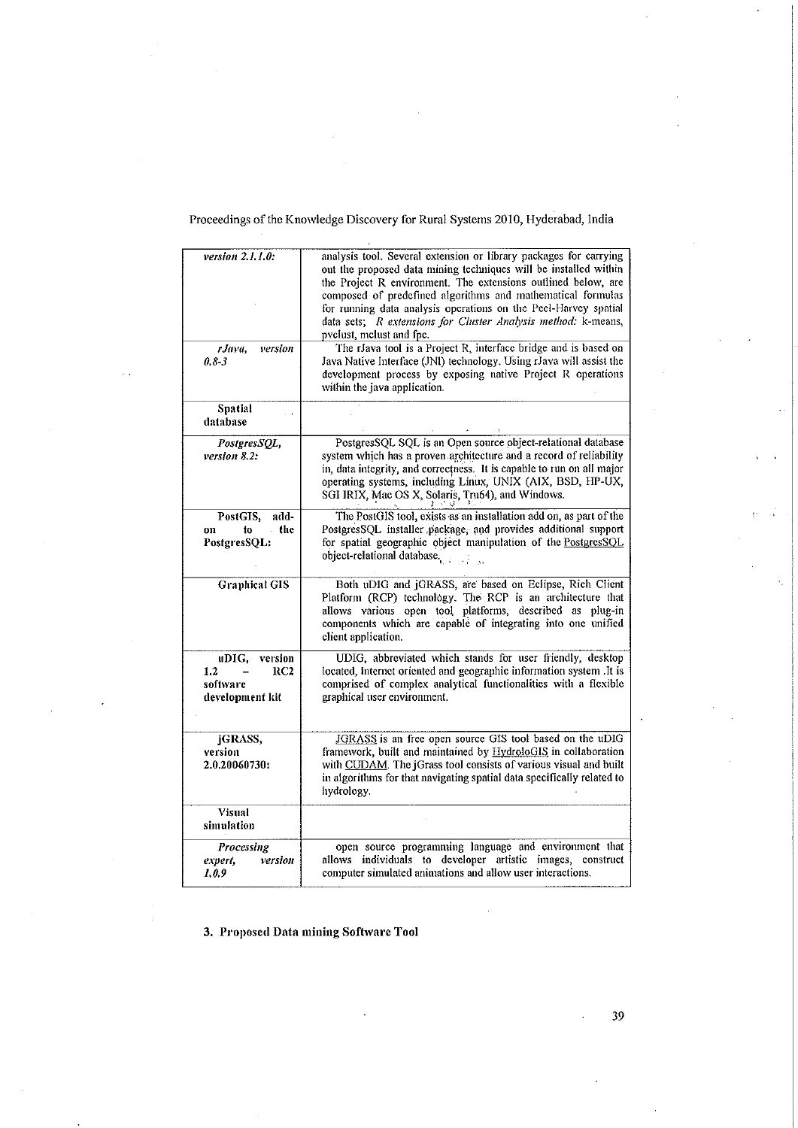| version 2.1.1.0:<br>rJava,<br>version                         | analysis tool. Several extension or library packages for carrying<br>out the proposed data mining techniques will be installed within<br>the Project R environment. The extensions outlined below, are<br>composed of predefined algorithms and mathematical formulas<br>for running data analysis operations on the Peel-Harvey spatial<br>data sets; R extensions for Cluster Analysis method: k-means,<br>pyclust, melust and fpc.<br>The rJava tool is a Project R, interface bridge and is based on |
|---------------------------------------------------------------|----------------------------------------------------------------------------------------------------------------------------------------------------------------------------------------------------------------------------------------------------------------------------------------------------------------------------------------------------------------------------------------------------------------------------------------------------------------------------------------------------------|
| 0.83                                                          | Java Native Interface (JNI) technology. Using rJava will assist the<br>development process by exposing native Project R operations<br>within the java application.                                                                                                                                                                                                                                                                                                                                       |
| <b>Spatial</b><br>database                                    |                                                                                                                                                                                                                                                                                                                                                                                                                                                                                                          |
| PostgresSQL,<br>version 8.2:                                  | PostgresSQL SQL is an Open source object-relational database<br>system which has a proven architecture and a record of reliability<br>in, data integrity, and correctness. It is capable to run on all major<br>operating systems, including Linux, UNIX (AIX, BSD, HP-UX,<br>SGI IRIX, Mac OS X, Solaris, Tru64), and Windows.                                                                                                                                                                          |
| PostGIS,<br>add-<br>$-$ the<br>to<br>on<br>PostgresSQL:       | The PostGIS tool, exists as an installation add on, as part of the<br>PostgresSQL installer package, and provides additional support<br>for spatial geographic object manipulation of the PostgresSQL<br>object-relational database.                                                                                                                                                                                                                                                                     |
| <b>Graphical GIS</b>                                          | Both uDIG and jGRASS, are based on Eclipse, Rich Client<br>Platform (RCP) technology. The RCP is an architecture that<br>allows various open tool platforms, described as plug-in<br>components which are capable of integrating into one unified<br>client application.                                                                                                                                                                                                                                 |
| version<br>uDIG,<br>1.2<br>RC2<br>software<br>development kit | UDIG, abbreviated which stands for user friendly, desktop<br>located, internet oriented and geographic information system .It is<br>comprised of complex analytical functionalities with a flexible<br>graphical user environment.                                                                                                                                                                                                                                                                       |
| jGRASS,<br>version<br>2.0.20060730:                           | JGRASS is an free open source GIS tool based on the uDIG<br>framework, built and maintained by HydroloGIS in collaboration<br>with CUDAM. The jGrass tool consists of various visual and built<br>in algorithms for that navigating spatial data specifically related to<br>hydrology.                                                                                                                                                                                                                   |
| <b>Visual</b><br>simulation                                   |                                                                                                                                                                                                                                                                                                                                                                                                                                                                                                          |
| Processing<br>version<br>expert,<br>1,0.9                     | open source programming language and environment that<br>allows individuals to developer artistic images,<br>construct<br>computer simulated animations and allow user interactions.                                                                                                                                                                                                                                                                                                                     |

3. Proposed Data mining Software Tool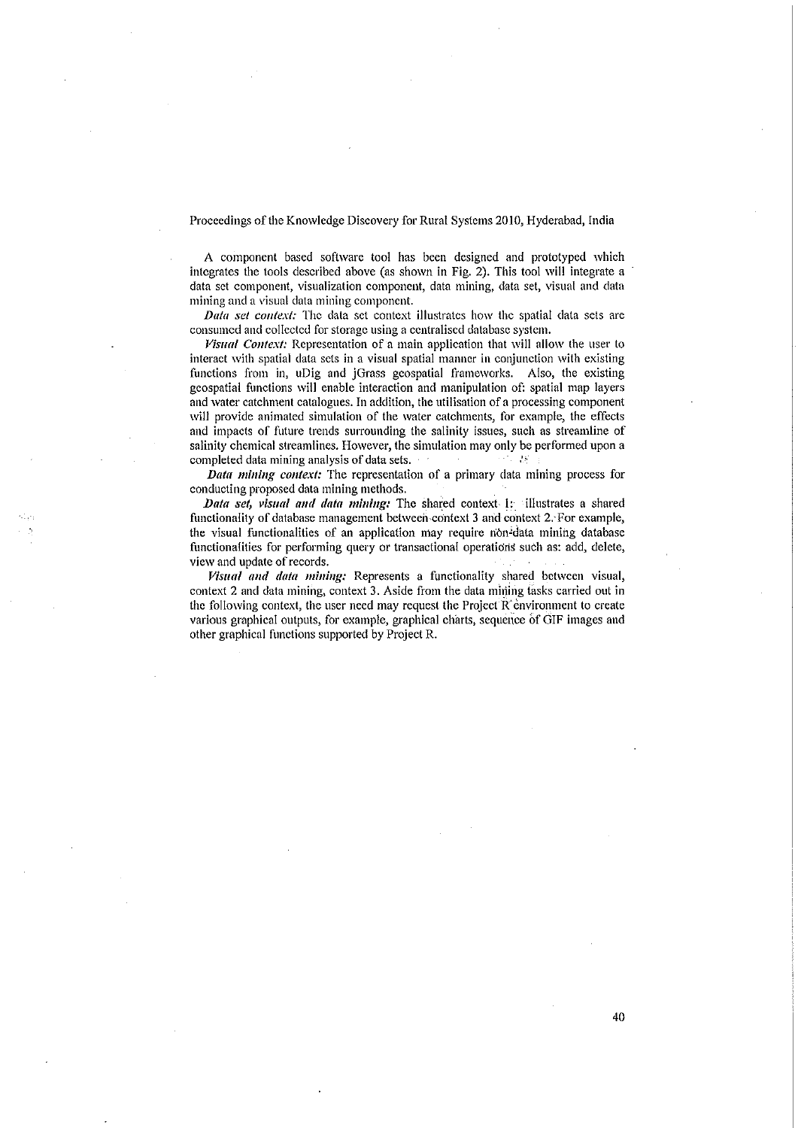A component based software tool has been designed and prototyped which integrates the tools described above (as shown in Fig. 2). This tool will integrate a data set component, visualization component, data mining, data set, visual and data mining and a visual data mining component.

Data set context: The data set context illustrates how the spatial data sets are consumed and collected for storage using a centralised database system.

Visual Context: Representation of a main application that will allow the user to interact with spatial data sets in a visual spatial manner in conjunction with existing functions from in, uDig and jGrass geospatial frameworks. Also, the existing geospatial functions will enable interaction and manipulation of: spatial map layers and water catchment catalogues. In addition, the utilisation of a processing component will provide animated simulation of the water catchments, for example, the effects and impacts of future trends surrounding the salinity issues, such as streamline of salinity chemical streamlines. However, the simulation may only be performed upon a completed data mining analysis of data sets. 作器

Data mining context: The representation of a primary data mining process for conducting proposed data mining methods.

Data set, visual and data mining: The shared context 1: illustrates a shared functionality of database management between context 3 and context 2. For example, the visual functionalities of an application may require non-data mining database functionalities for performing query or transactional operations such as: add, delete, view and update of records.

Visual and data mining: Represents a functionality shared between visual, context 2 and data mining, context 3. Aside from the data mining tasks carried out in the following context, the user need may request the Project R environment to create various graphical outputs, for example, graphical charts, sequence of GIF images and other graphical functions supported by Project R.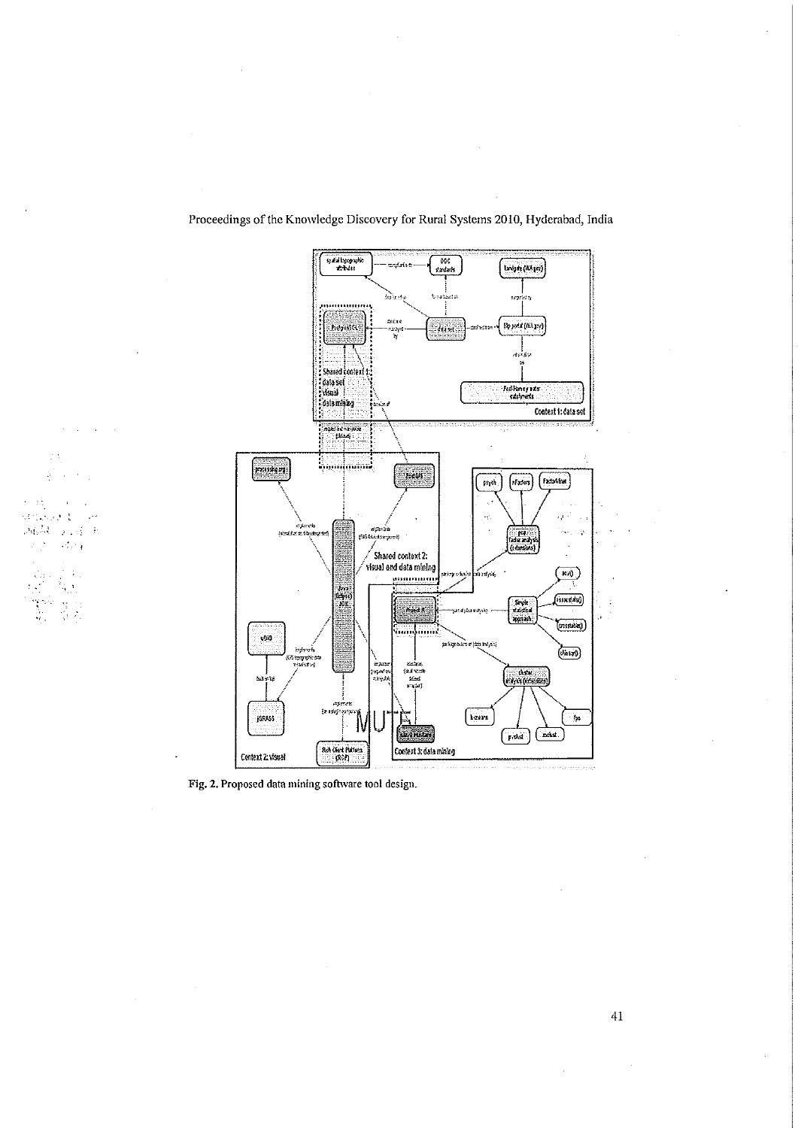

Fig. 2. Proposed data mining software tool design.

tas estas

क्सब्सिट के उन्हें जो<br>जनसंख्या

 $\ddot{\phantom{a}}$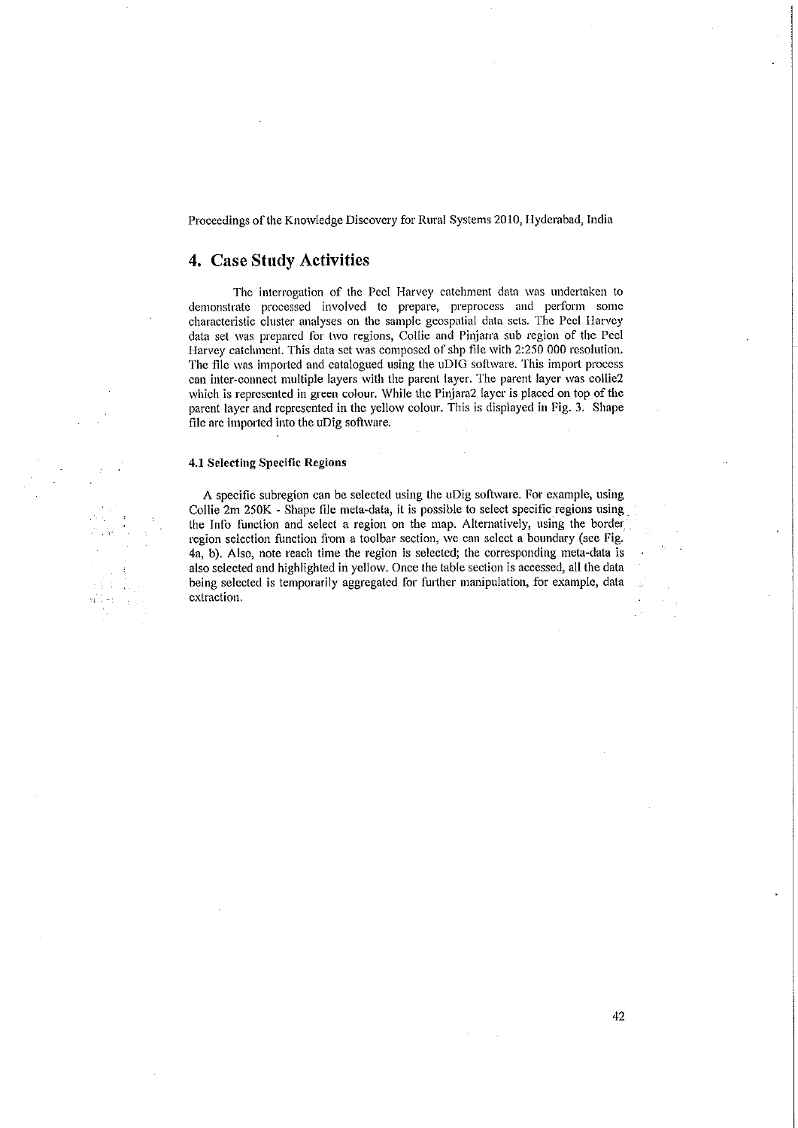## 4. Case Study Activities

The interrogation of the Peel Harvey catchment data was undertaken to demonstrate processed involved to prepare, preprocess and perform some characteristic cluster analyses on the sample geospatial data sets. The Peel Harvey data set was prepared for two regions, Collie and Pinjarra sub region of the Peel Harvey catchment. This data set was composed of shp file with 2:250 000 resolution. The file was imported and catalogued using the uDIG software. This import process can inter-connect multiple layers with the parent layer. The parent layer was collie2 which is represented in green colour. While the Pinjara2 layer is placed on top of the parent layer and represented in the yellow colour. This is displayed in Fig. 3. Shape file are imported into the uDig software.

#### 4.1 Selecting Specific Regions

A specific subregion can be selected using the uDig software. For example, using Collie 2m 250K - Shape file meta-data, it is possible to select specific regions using the Info function and select a region on the map. Alternatively, using the border region selection function from a toolbar section, we can select a boundary (see Fig. 4a, b). Also, note reach time the region is selected; the corresponding meta-data is also selected and highlighted in yellow. Once the table section is accessed, all the data being selected is temporarily aggregated for further manipulation, for example, data extraction.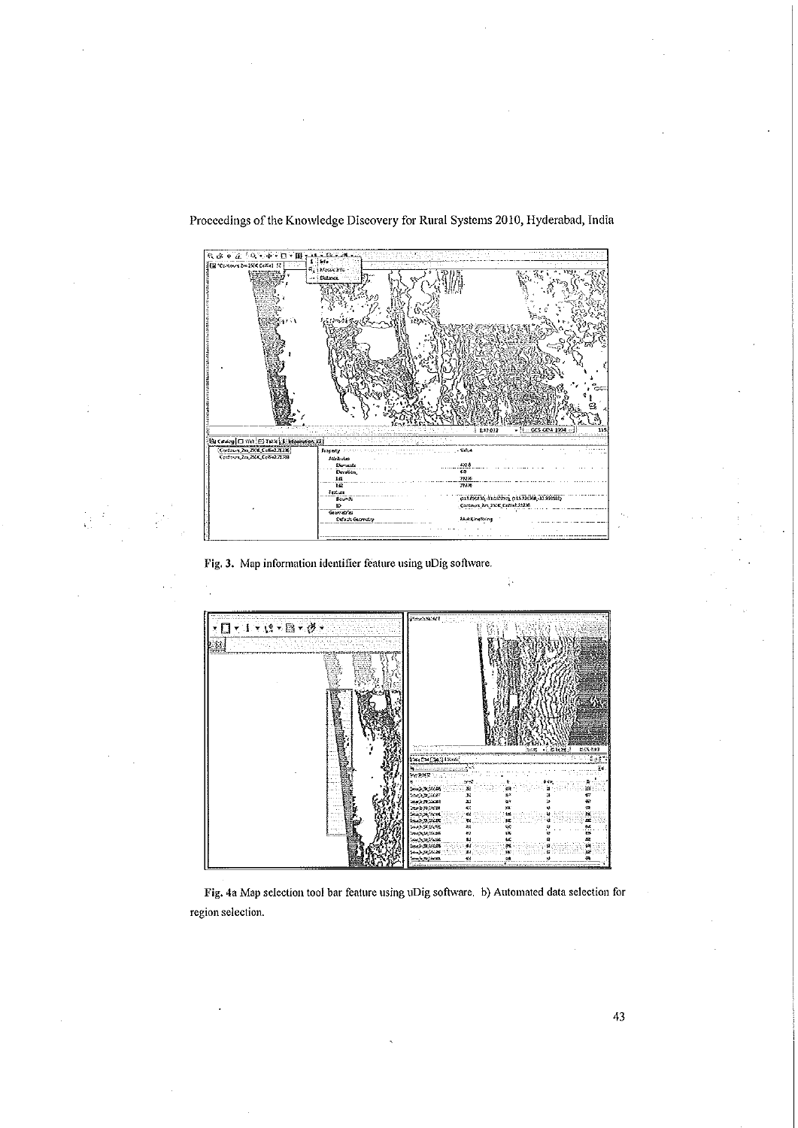

Fig. 3. Map information identifier feature using uDig software.



 $\ddot{r}$ 

Fig. 4a Map selection tool bar feature using uDig software. b) Automated data selection for region selection.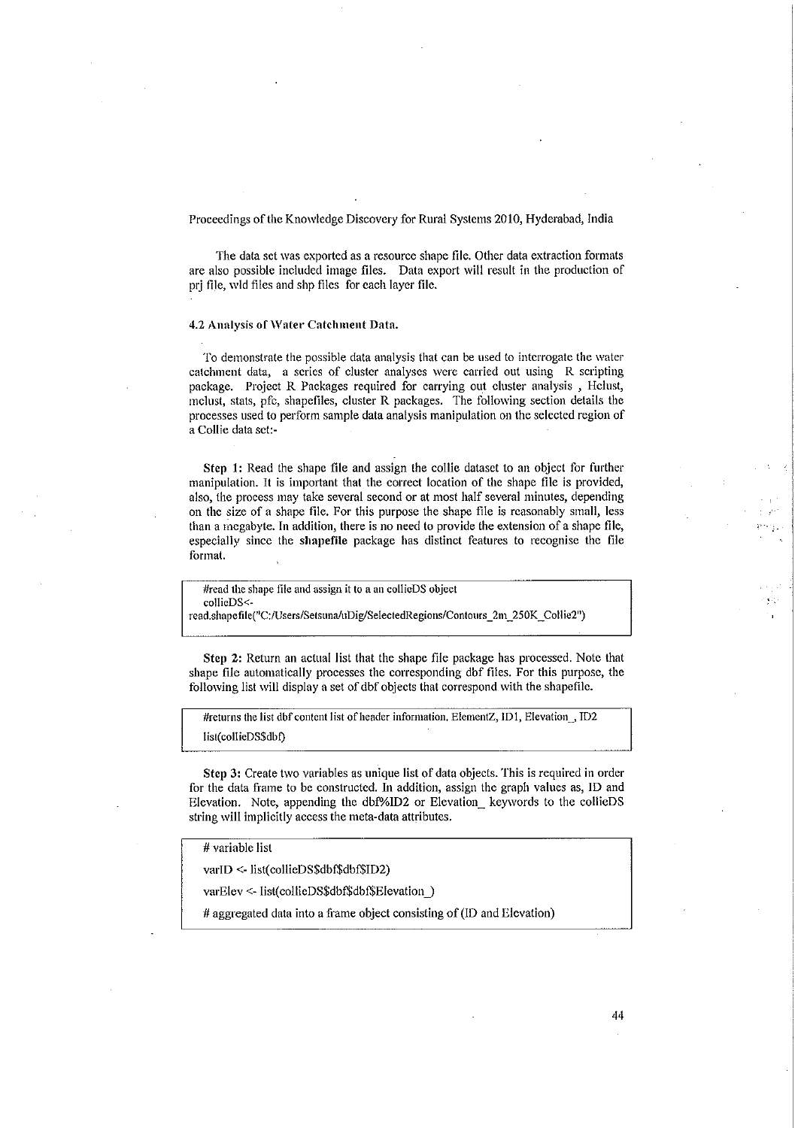The data set was exported as a resource shape file. Other data extraction formats are also possible included image files. Data export will result in the production of prj file, wid files and shp files for each layer file.

### 4.2 Analysis of Water Catchment Data.

To demonstrate the possible data analysis that can be used to interrogate the water catchment data, a series of cluster analyses were carried out using R scripting package. Project R Packages required for carrying out cluster analysis, Hclust, mclust, stats, pfc, shapefiles, cluster R packages. The following section details the processes used to perform sample data analysis manipulation on the selected region of a Collie data set:-

Step 1: Read the shape file and assign the collie dataset to an object for further manipulation. It is important that the correct location of the shape file is provided, also, the process may take several second or at most half several minutes, depending on the size of a shape file. For this purpose the shape file is reasonably small, less than a megabyte. In addition, there is no need to provide the extension of a shape file, especially since the shapefile package has distinct features to recognise the file format.

#read the shape file and assign it to a an collieDS object collieDS<-

read.shapefile("C:/Users/Setsuna/uDig/SelectedRegions/Contours\_2m\_250K\_Collie2")

Step 2: Return an actual list that the shape file package has processed. Note that shape file automatically processes the corresponding dbf files. For this purpose, the following list will display a set of dbf objects that correspond with the shapefile.

#returns the list dbf content list of header information. ElementZ, ID1, Elevation\_, ID2 list(collieDS\$dbf)

Step 3: Create two variables as unique list of data objects. This is required in order for the data frame to be constructed. In addition, assign the graph values as, ID and Elevation. Note, appending the dbf%ID2 or Elevation keywords to the collieDS string will implicitly access the meta-data attributes.

44

# variable list

varID <- list(collieDS\$dbf\$dbf\$ID2)

varElev <- list(collieDS\$dbf\$dbf\$Elevation)

# aggregated data into a frame object consisting of (ID and Elevation)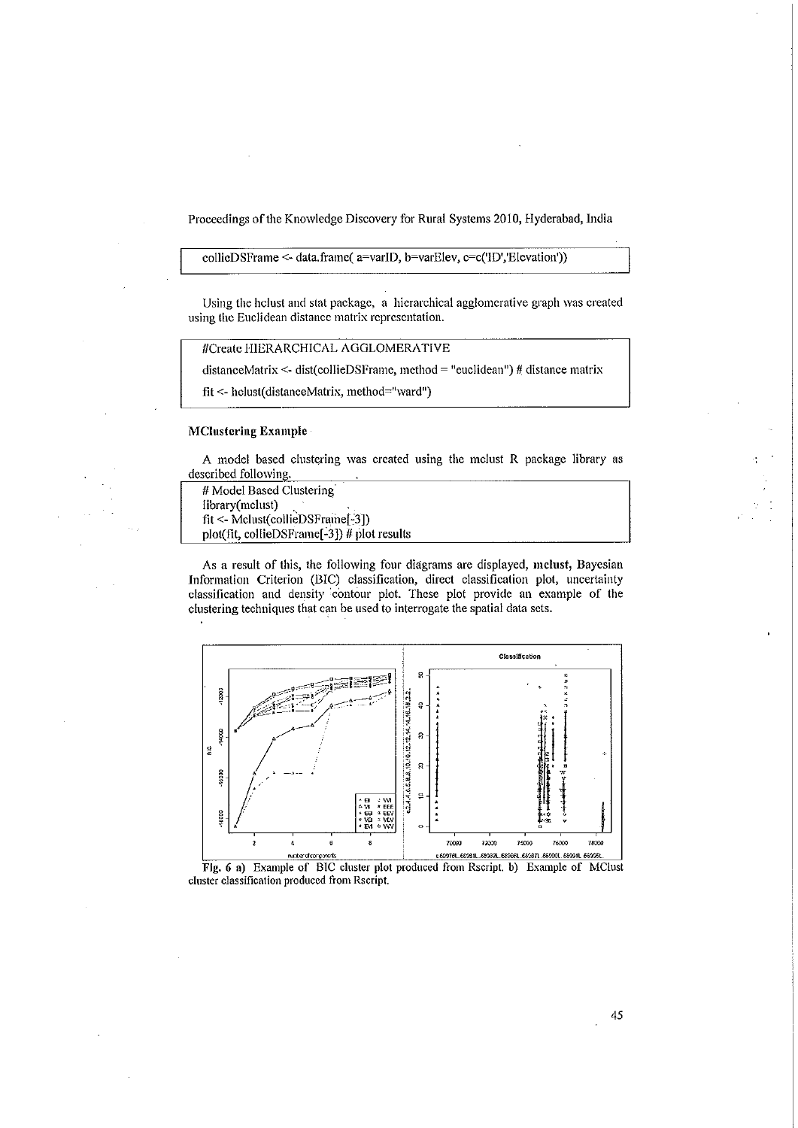### collieDSFrame <- data.frame( a=varID, b=varElev, c=c('ID','Elevation'))

Using the holust and stat package, a hierarchical agglomerative graph was created using the Euclidean distance matrix representation.

#Create HIERARCHICAL AGGLOMERATIVE

distanceMatrix <- dist(collieDSFrame, method = "euclidean") # distance matrix

fit <- helust(distanceMatrix, method="ward")

#### **MClustering Example**

A model based clustering was created using the mclust R package library as described following.

```
# Model Based Clustering
library(mclust)
fit <- Mclust(collieDSFrame[-3])
plot(fit, collieDSFrame[-3]) # plot results
```
As a result of this, the following four diagrams are displayed, mclust, Bayesian Information Criterion (BIC) classification, direct classification plot, uncertainty classification and density contour plot. These plot provide an example of the clustering techniques that can be used to interrogate the spatial data sets.



cluster classification produced from Rscript.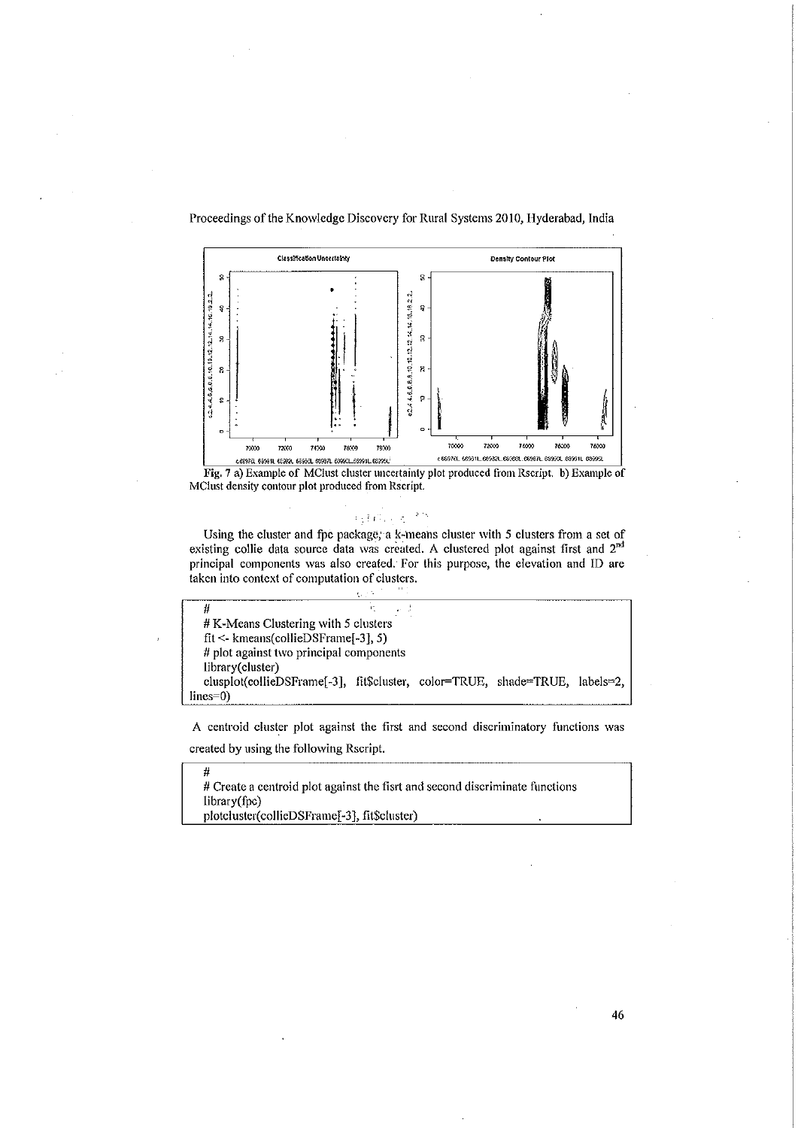



# $\left\langle \left\langle \left\{ \mathbf{r}^{\left(1\right)},\mathbf{r}^{\left(2\right)}\right\} \right\rangle \right\rangle =\left\langle \left\langle \mathbf{r}^{\left(2\right)}\right\rangle \right\rangle$

Using the cluster and fpc package, a k-means cluster with 5 clusters from a set of existing collie data source data was created. A clustered plot against first and 2<sup>nd</sup> principal components was also created. For this purpose, the elevation and ID are taken into context of computation of clusters.

|                                                                             | <b>COST</b> |  |  |  |  |  |
|-----------------------------------------------------------------------------|-------------|--|--|--|--|--|
|                                                                             | T.          |  |  |  |  |  |
| # K-Means Clustering with 5 clusters                                        |             |  |  |  |  |  |
| $fit <$ kmeans(collieDSFrame[-3], 5)                                        |             |  |  |  |  |  |
| # plot against two principal components                                     |             |  |  |  |  |  |
| library(cluster)                                                            |             |  |  |  |  |  |
| clusplot(collieDSFrame[-3], fit\$cluster, color=TRUE, shade=TRUE, labels=2, |             |  |  |  |  |  |
| $lines=0$                                                                   |             |  |  |  |  |  |

A centroid cluster plot against the first and second discriminatory functions was created by using the following Rscript.

 $\mu$ # Create a centroid plot against the fisrt and second discriminate functions library(fpc) plotcluster(collieDSFrame[-3], fit\$cluster)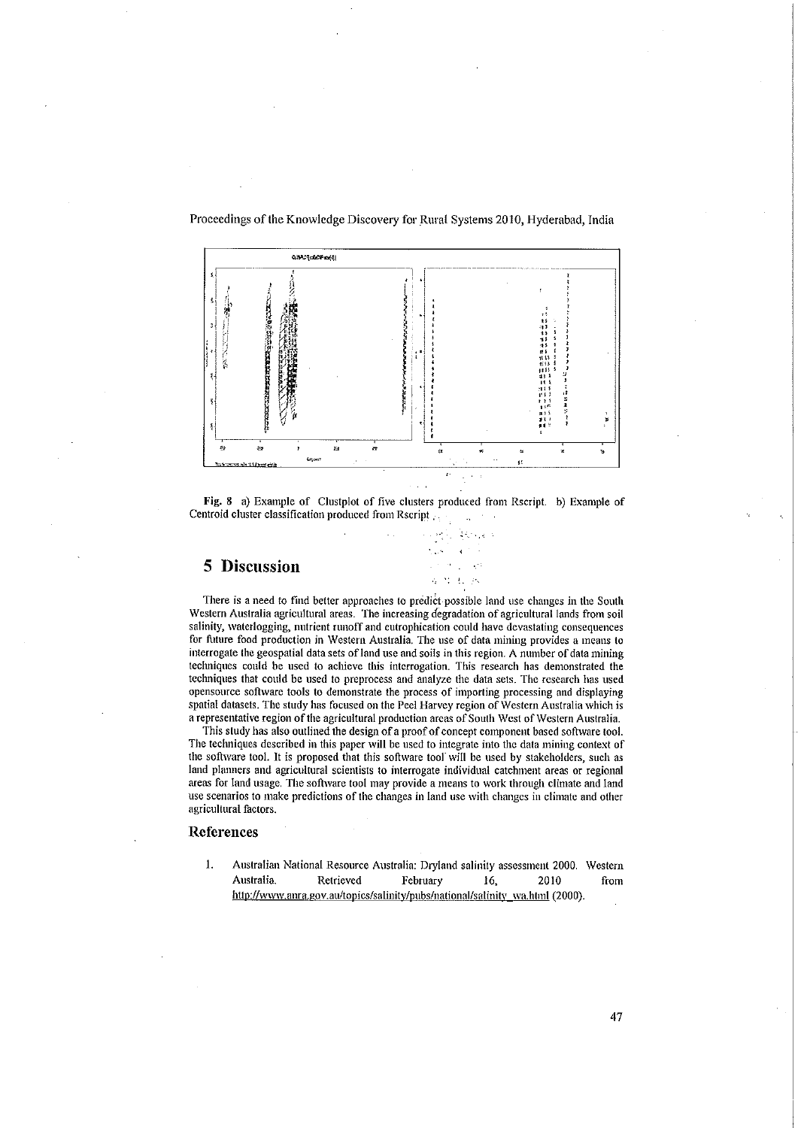

Fig. 8 a) Example of Clustplot of five clusters produced from Rscript. b) Example of Centroid cluster classification produced from Rscript  $\mathbb{R}^2$ 

ite de



There is a need to find better approaches to predict possible land use changes in the South Western Australia agricultural areas. The increasing degradation of agricultural lands from soil salinity, waterlogging, nutrient runoff and eutrophication could have devastating consequences for future food production in Western Australia. The use of data mining provides a means to interrogate the geospatial data sets of land use and soils in this region. A number of data mining techniques could be used to achieve this interrogation. This research has demonstrated the techniques that could be used to preprocess and analyze the data sets. The research has used opensource software tools to demonstrate the process of importing processing and displaying spatial datasets. The study has focused on the Peel Harvey region of Western Australia which is a representative region of the agricultural production areas of South West of Western Australia.

This study has also outlined the design of a proof of concept component based software tool. The techniques described in this paper will be used to integrate into the data mining context of the software tool. It is proposed that this software tool will be used by stakeholders, such as land planners and agricultural scientists to interrogate individual catchment areas or regional areas for land usage. The software tool may provide a means to work through climate and land use scenarios to make predictions of the changes in land use with changes in climate and other agricultural factors.

#### References

1. Australian National Resource Australia: Dryland salinity assessment 2000. Western Australia. Retrieved February 2010 16. from http://www.anra.gov.au/topics/salinity/pubs/national/salinity\_wa.html (2000).